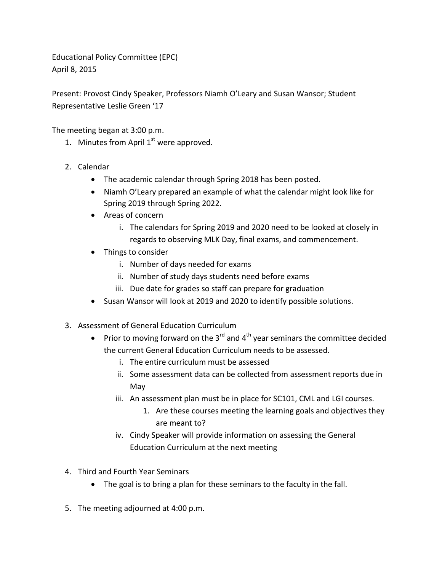Educational Policy Committee (EPC) April 8, 2015

Present: Provost Cindy Speaker, Professors Niamh O'Leary and Susan Wansor; Student Representative Leslie Green '17

The meeting began at 3:00 p.m.

- 1. Minutes from April  $1<sup>st</sup>$  were approved.
- 2. Calendar
	- The academic calendar through Spring 2018 has been posted.
	- Niamh O'Leary prepared an example of what the calendar might look like for Spring 2019 through Spring 2022.
	- Areas of concern
		- i. The calendars for Spring 2019 and 2020 need to be looked at closely in regards to observing MLK Day, final exams, and commencement.
	- Things to consider
		- i. Number of days needed for exams
		- ii. Number of study days students need before exams
		- iii. Due date for grades so staff can prepare for graduation
	- Susan Wansor will look at 2019 and 2020 to identify possible solutions.
- 3. Assessment of General Education Curriculum
	- Prior to moving forward on the 3 $^{rd}$  and 4<sup>th</sup> year seminars the committee decided the current General Education Curriculum needs to be assessed.
		- i. The entire curriculum must be assessed
		- ii. Some assessment data can be collected from assessment reports due in May
		- iii. An assessment plan must be in place for SC101, CML and LGI courses.
			- 1. Are these courses meeting the learning goals and objectives they are meant to?
		- iv. Cindy Speaker will provide information on assessing the General Education Curriculum at the next meeting
- 4. Third and Fourth Year Seminars
	- The goal is to bring a plan for these seminars to the faculty in the fall.
- 5. The meeting adjourned at 4:00 p.m.